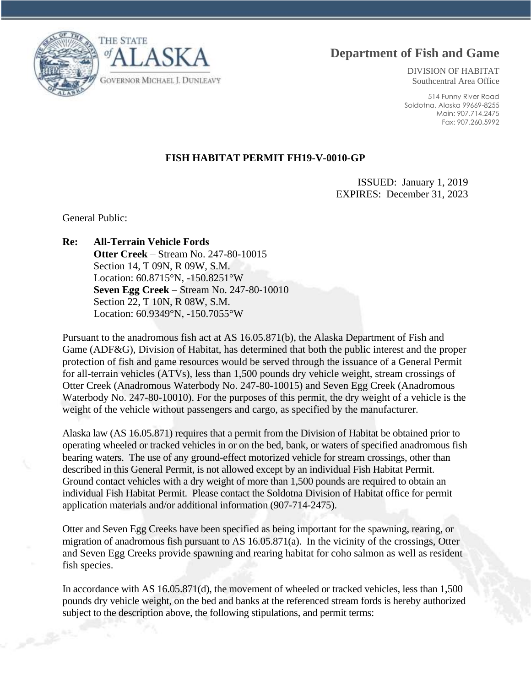**Department of Fish and Game**

THE STATE **GOVERNOR MICHAEL J. DUNLEAVY** 

DIVISION OF HABITAT Southcentral Area Office

514 Funny River Road Soldotna, Alaska 99669-8255 Main: 907.714.2475 Fax: 907.260.5992

## **FISH HABITAT PERMIT FH19-V-0010-GP**

ISSUED: January 1, 2019 EXPIRES: December 31, 2023

General Public:

**Re: All-Terrain Vehicle Fords**

**Otter Creek** – Stream No. 247-80-10015 Section 14, T 09N, R 09W, S.M. Location: 60.8715°N, -150.8251°W **Seven Egg Creek** – Stream No. 247-80-10010 Section 22, T 10N, R 08W, S.M. Location: 60.9349°N, -150.7055°W

Pursuant to the anadromous fish act at AS 16.05.871(b), the Alaska Department of Fish and Game (ADF&G), Division of Habitat, has determined that both the public interest and the proper protection of fish and game resources would be served through the issuance of a General Permit for all-terrain vehicles (ATVs), less than 1,500 pounds dry vehicle weight, stream crossings of Otter Creek (Anadromous Waterbody No. 247-80-10015) and Seven Egg Creek (Anadromous Waterbody No. 247-80-10010). For the purposes of this permit, the dry weight of a vehicle is the weight of the vehicle without passengers and cargo, as specified by the manufacturer.

Alaska law (AS 16.05.871) requires that a permit from the Division of Habitat be obtained prior to operating wheeled or tracked vehicles in or on the bed, bank, or waters of specified anadromous fish bearing waters. The use of any ground-effect motorized vehicle for stream crossings, other than described in this General Permit, is not allowed except by an individual Fish Habitat Permit. Ground contact vehicles with a dry weight of more than 1,500 pounds are required to obtain an individual Fish Habitat Permit. Please contact the Soldotna Division of Habitat office for permit application materials and/or additional information (907-714-2475).

Otter and Seven Egg Creeks have been specified as being important for the spawning, rearing, or migration of anadromous fish pursuant to AS 16.05.871(a). In the vicinity of the crossings, Otter and Seven Egg Creeks provide spawning and rearing habitat for coho salmon as well as resident fish species.

In accordance with AS 16.05.871(d), the movement of wheeled or tracked vehicles, less than 1,500 pounds dry vehicle weight, on the bed and banks at the referenced stream fords is hereby authorized subject to the description above, the following stipulations, and permit terms: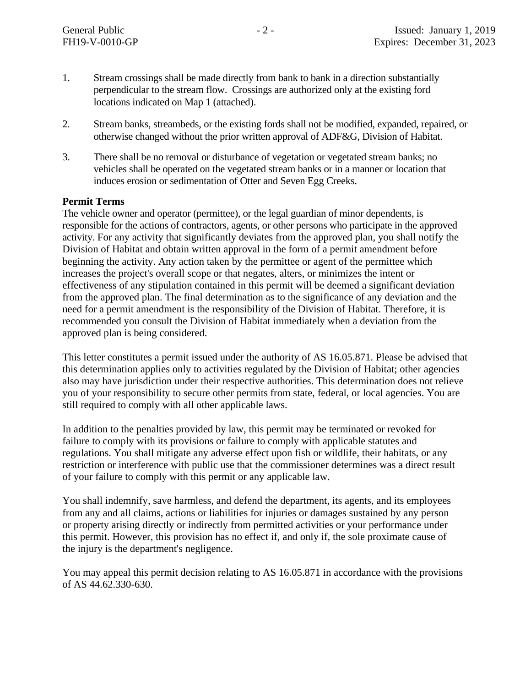- 1. Stream crossings shall be made directly from bank to bank in a direction substantially perpendicular to the stream flow. Crossings are authorized only at the existing ford locations indicated on Map 1 (attached).
- 2. Stream banks, streambeds, or the existing fords shall not be modified, expanded, repaired, or otherwise changed without the prior written approval of ADF&G, Division of Habitat.
- 3. There shall be no removal or disturbance of vegetation or vegetated stream banks; no vehicles shall be operated on the vegetated stream banks or in a manner or location that induces erosion or sedimentation of Otter and Seven Egg Creeks.

## **Permit Terms**

The vehicle owner and operator (permittee), or the legal guardian of minor dependents, is responsible for the actions of contractors, agents, or other persons who participate in the approved activity. For any activity that significantly deviates from the approved plan, you shall notify the Division of Habitat and obtain written approval in the form of a permit amendment before beginning the activity. Any action taken by the permittee or agent of the permittee which increases the project's overall scope or that negates, alters, or minimizes the intent or effectiveness of any stipulation contained in this permit will be deemed a significant deviation from the approved plan. The final determination as to the significance of any deviation and the need for a permit amendment is the responsibility of the Division of Habitat. Therefore, it is recommended you consult the Division of Habitat immediately when a deviation from the approved plan is being considered.

This letter constitutes a permit issued under the authority of AS 16.05.871. Please be advised that this determination applies only to activities regulated by the Division of Habitat; other agencies also may have jurisdiction under their respective authorities. This determination does not relieve you of your responsibility to secure other permits from state, federal, or local agencies. You are still required to comply with all other applicable laws.

In addition to the penalties provided by law, this permit may be terminated or revoked for failure to comply with its provisions or failure to comply with applicable statutes and regulations. You shall mitigate any adverse effect upon fish or wildlife, their habitats, or any restriction or interference with public use that the commissioner determines was a direct result of your failure to comply with this permit or any applicable law.

You shall indemnify, save harmless, and defend the department, its agents, and its employees from any and all claims, actions or liabilities for injuries or damages sustained by any person or property arising directly or indirectly from permitted activities or your performance under this permit. However, this provision has no effect if, and only if, the sole proximate cause of the injury is the department's negligence.

You may appeal this permit decision relating to AS 16.05.871 in accordance with the provisions of AS 44.62.330-630.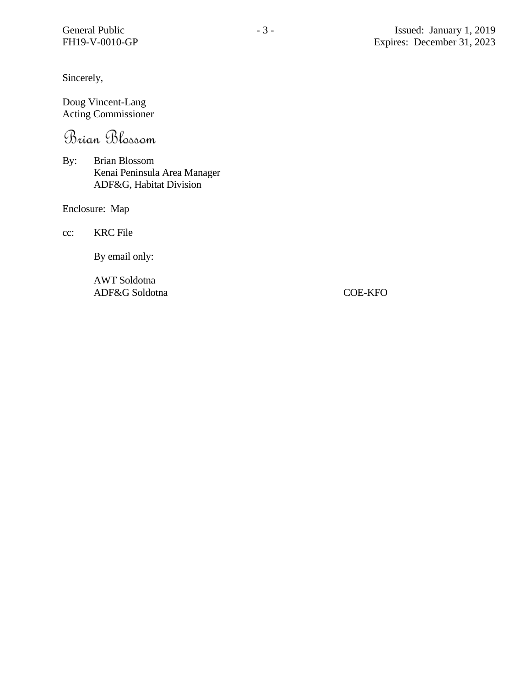Sincerely,

Doug Vincent-Lang Acting Commissioner

Brian Blossom

By: Brian Blossom Kenai Peninsula Area Manager ADF&G, Habitat Division

Enclosure: Map

cc: KRC File

By email only:

AWT Soldotna ADF&G Soldotna COE-KFO